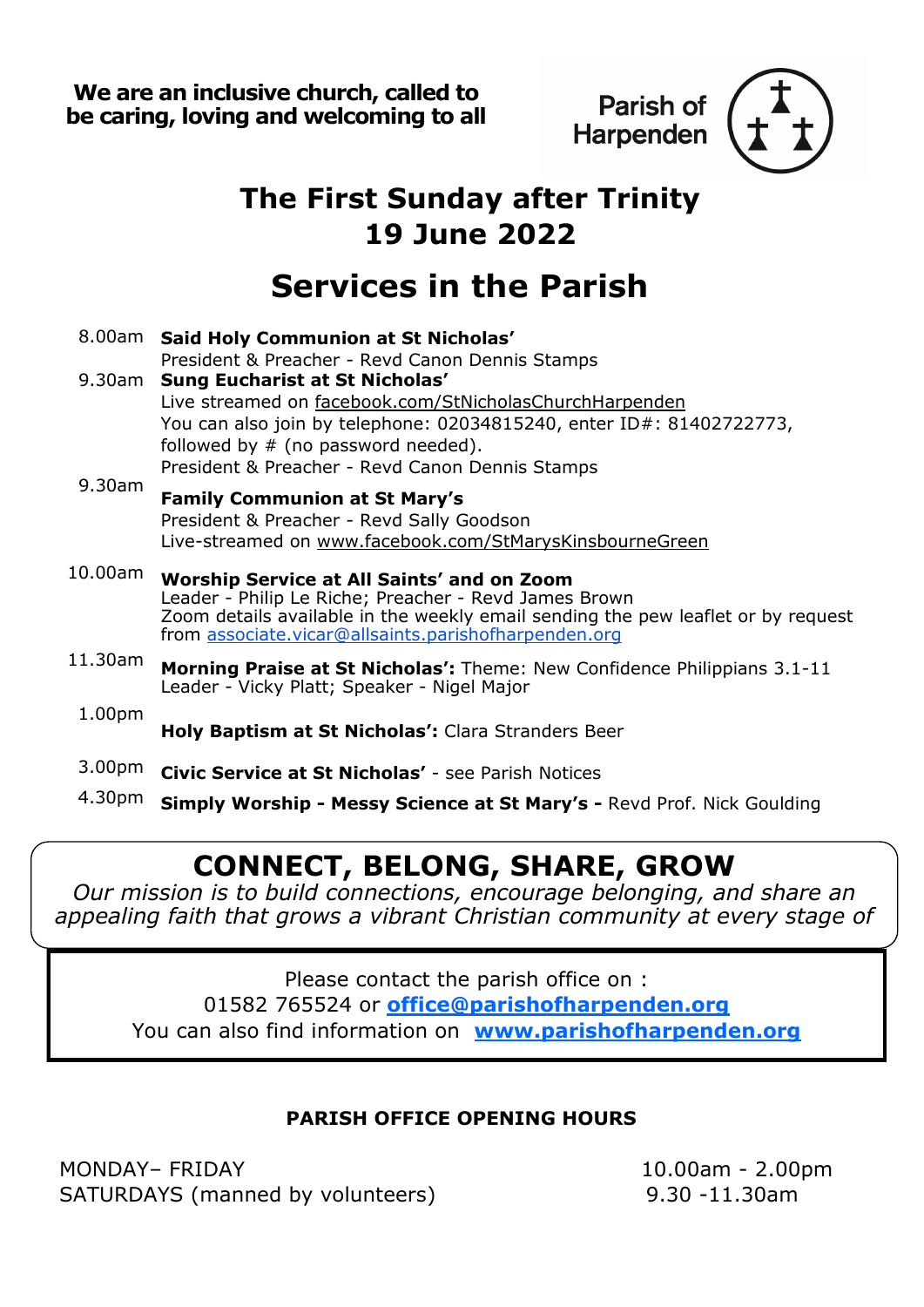

### **The First Sunday after Trinity 19 June 2022**

## **Services in the Parish**

|                    | 8.00am Said Holy Communion at St Nicholas'                                                                                     |
|--------------------|--------------------------------------------------------------------------------------------------------------------------------|
|                    | President & Preacher - Revd Canon Dennis Stamps                                                                                |
|                    | 9.30am Sung Eucharist at St Nicholas'                                                                                          |
|                    | Live streamed on facebook.com/StNicholasChurchHarpenden                                                                        |
|                    | You can also join by telephone: 02034815240, enter ID#: 81402722773,                                                           |
|                    | followed by $#$ (no password needed).                                                                                          |
|                    | President & Preacher - Revd Canon Dennis Stamps                                                                                |
| 9.30am             | <b>Family Communion at St Mary's</b>                                                                                           |
|                    | President & Preacher - Revd Sally Goodson                                                                                      |
|                    | Live-streamed on www.facebook.com/StMarysKinsbourneGreen                                                                       |
| 10.00am            |                                                                                                                                |
|                    | <b>Worship Service at All Saints' and on Zoom</b><br>Leader - Philip Le Riche; Preacher - Revd James Brown                     |
|                    | Zoom details available in the weekly email sending the pew leaflet or by request                                               |
|                    | from associate.vicar@allsaints.parishofharpenden.org                                                                           |
| 11.30am            |                                                                                                                                |
|                    | <b>Morning Praise at St Nicholas':</b> Theme: New Confidence Philippians 3.1-11<br>Leader - Vicky Platt; Speaker - Nigel Major |
| 1.00 <sub>pm</sub> |                                                                                                                                |
|                    | Holy Baptism at St Nicholas': Clara Stranders Beer                                                                             |
| 3.00pm             | Civic Service at St Nicholas' - see Parish Notices                                                                             |
|                    |                                                                                                                                |

4.30pm **Simply Worship - Messy Science at St Mary's -** Revd Prof. Nick Goulding

### **CONNECT, BELONG, SHARE, GROW**

*Our mission is to build connections, encourage belonging, and share an appealing faith that grows a vibrant Christian community at every stage of* 

Please contact the parish office on : 01582 765524 or **[office@parishofharpenden.org](mailto:office@parishofharpenden.org)** You can also find information on **[www.parishofharpenden.org](http://www.parishofharpenden.org)**

#### **PARISH OFFICE OPENING HOURS**

MONDAY– FRIDAY 10.00am - 2.00pm SATURDAYS (manned by volunteers) 9.30 -11.30am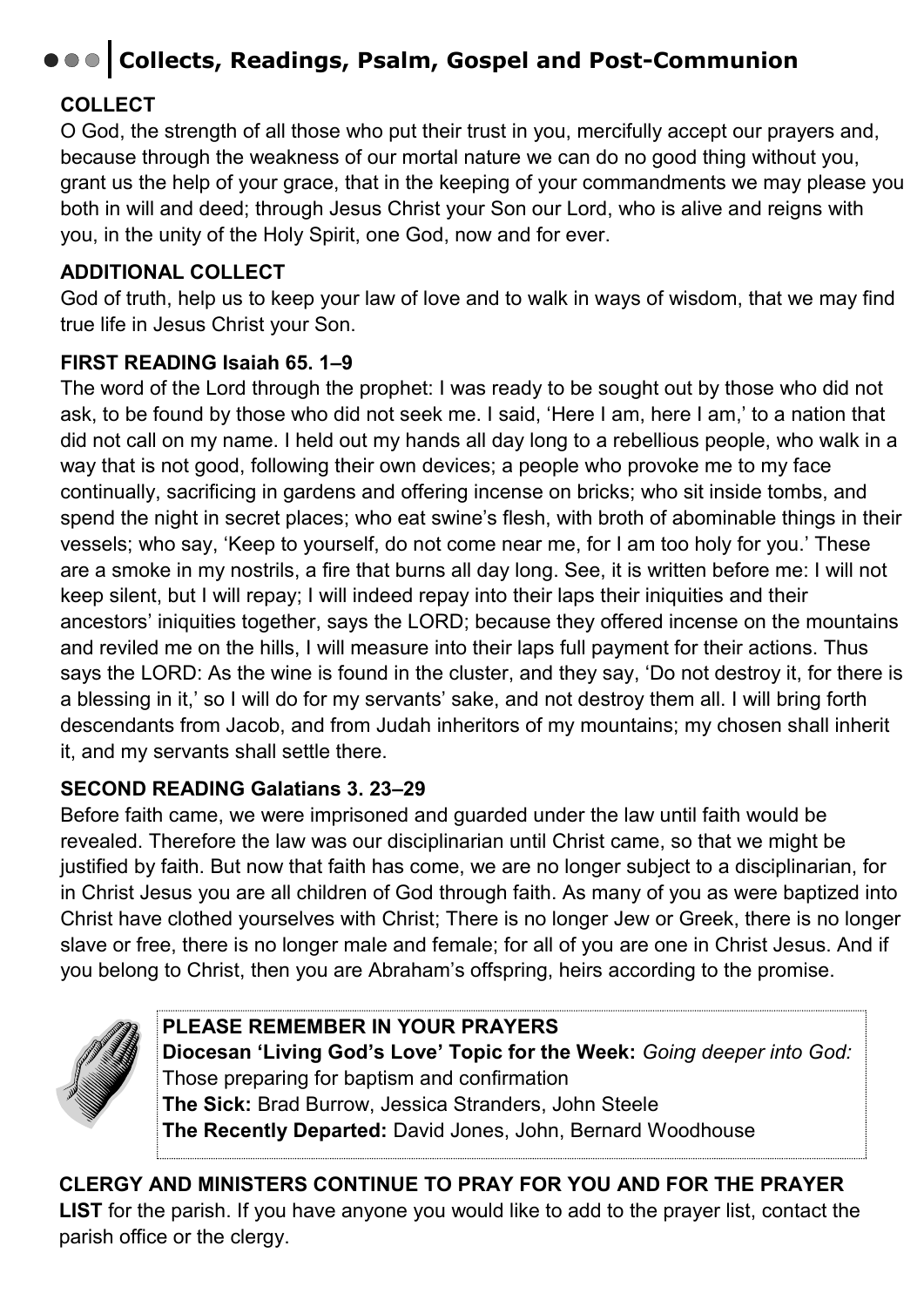### **Collects, Readings, Psalm, Gospel and Post-Communion**

### **COLLECT**

O God, the strength of all those who put their trust in you, mercifully accept our prayers and, because through the weakness of our mortal nature we can do no good thing without you, grant us the help of your grace, that in the keeping of your commandments we may please you both in will and deed; through Jesus Christ your Son our Lord, who is alive and reigns with you, in the unity of the Holy Spirit, one God, now and for ever.

#### **ADDITIONAL COLLECT**

God of truth, help us to keep your law of love and to walk in ways of wisdom, that we may find true life in Jesus Christ your Son.

#### **FIRST READING Isaiah 65. 1–9**

The word of the Lord through the prophet: I was ready to be sought out by those who did not ask, to be found by those who did not seek me. I said, 'Here I am, here I am,' to a nation that did not call on my name. I held out my hands all day long to a rebellious people, who walk in a way that is not good, following their own devices; a people who provoke me to my face continually, sacrificing in gardens and offering incense on bricks; who sit inside tombs, and spend the night in secret places; who eat swine's flesh, with broth of abominable things in their vessels; who say, 'Keep to yourself, do not come near me, for I am too holy for you.' These are a smoke in my nostrils, a fire that burns all day long. See, it is written before me: I will not keep silent, but I will repay; I will indeed repay into their laps their iniquities and their ancestors' iniquities together, says the LORD; because they offered incense on the mountains and reviled me on the hills, I will measure into their laps full payment for their actions. Thus says the LORD: As the wine is found in the cluster, and they say, 'Do not destroy it, for there is a blessing in it,' so I will do for my servants' sake, and not destroy them all. I will bring forth descendants from Jacob, and from Judah inheritors of my mountains; my chosen shall inherit it, and my servants shall settle there.

#### **SECOND READING Galatians 3. 23–29**

Before faith came, we were imprisoned and guarded under the law until faith would be revealed. Therefore the law was our disciplinarian until Christ came, so that we might be justified by faith. But now that faith has come, we are no longer subject to a disciplinarian, for in Christ Jesus you are all children of God through faith. As many of you as were baptized into Christ have clothed yourselves with Christ; There is no longer Jew or Greek, there is no longer slave or free, there is no longer male and female; for all of you are one in Christ Jesus. And if you belong to Christ, then you are Abraham's offspring, heirs according to the promise.



#### **PLEASE REMEMBER IN YOUR PRAYERS**

**Diocesan 'Living God's Love' Topic for the Week:** *Going deeper into God:*  Those preparing for baptism and confirmation **The Sick:** Brad Burrow, Jessica Stranders, John Steele **The Recently Departed:** David Jones, John, Bernard Woodhouse

**CLERGY AND MINISTERS CONTINUE TO PRAY FOR YOU AND FOR THE PRAYER LIST** for the parish. If you have anyone you would like to add to the prayer list, contact the parish office or the clergy.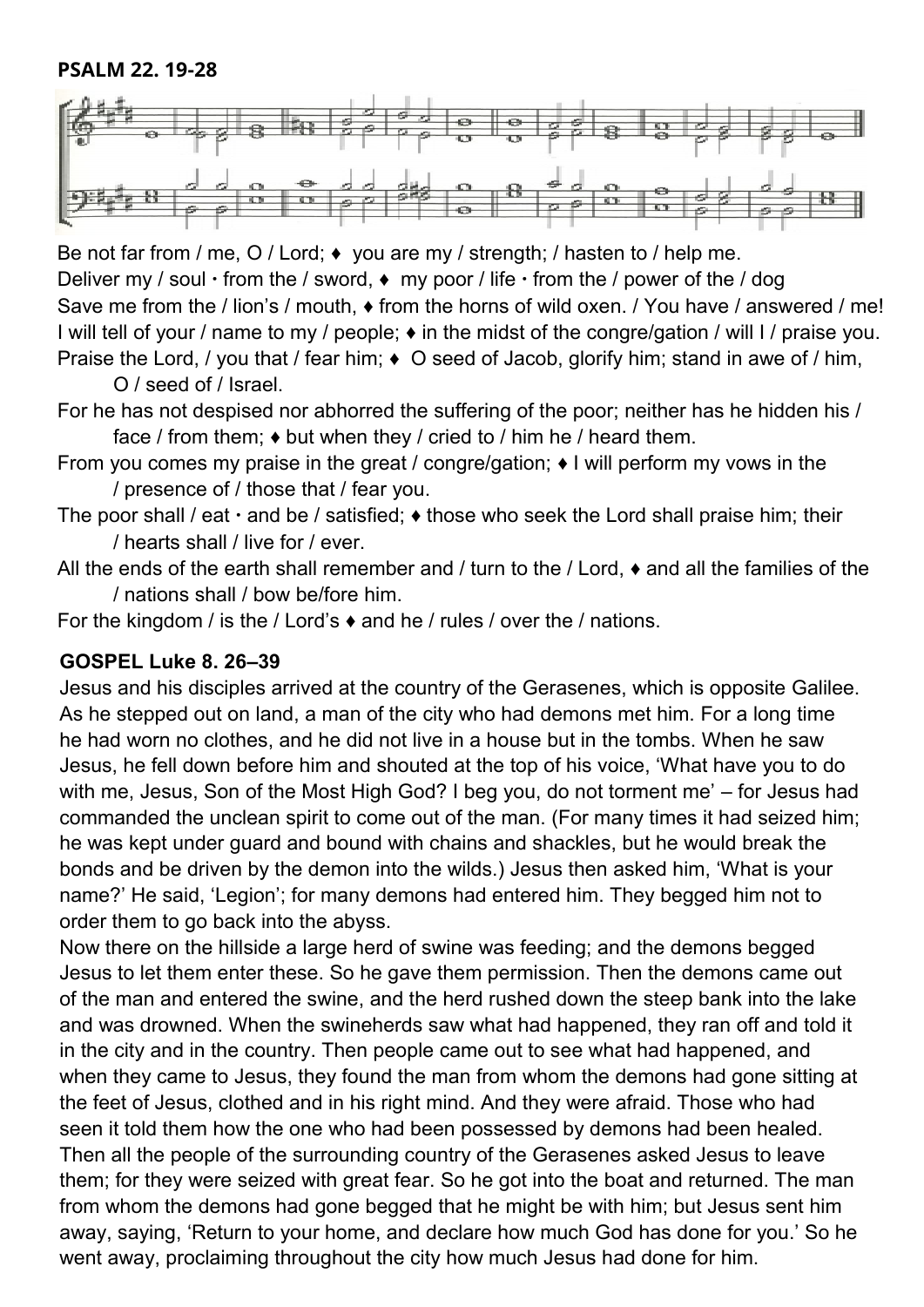#### **PSALM 22. 19-28**



Be not far from / me, O / Lord; ♦︎ you are my / strength; / hasten to / help me. Deliver my / soul **·** from the / sword, ♦︎ my poor / life **·** from the / power of the / dog Save me from the / lion's / mouth, ♦︎ from the horns of wild oxen. / You have / answered / me! I will tell of your / name to my / people; ♦︎ in the midst of the congre/gation / will I / praise you. Praise the Lord, / you that / fear him; ♦︎ O seed of Jacob, glorify him; stand in awe of / him,

O / seed of / Israel.

- For he has not despised nor abhorred the suffering of the poor; neither has he hidden his / face / from them;  $\triangle$  but when they / cried to / him he / heard them.
- From you comes my praise in the great / congre/gation; ♦︎ I will perform my vows in the / presence of / those that / fear you.
- The poor shall / eat **·** and be / satisfied; ♦︎ those who seek the Lord shall praise him; their / hearts shall / live for / ever.
- All the ends of the earth shall remember and / turn to the / Lord, ♦︎ and all the families of the / nations shall / bow be/fore him.

For the kingdom / is the / Lord's  $\bullet$  and he / rules / over the / nations.

#### **GOSPEL Luke 8. 26–39**

Jesus and his disciples arrived at the country of the Gerasenes, which is opposite Galilee. As he stepped out on land, a man of the city who had demons met him. For a long time he had worn no clothes, and he did not live in a house but in the tombs. When he saw Jesus, he fell down before him and shouted at the top of his voice, 'What have you to do with me, Jesus, Son of the Most High God? I beg you, do not torment me' – for Jesus had commanded the unclean spirit to come out of the man. (For many times it had seized him; he was kept under guard and bound with chains and shackles, but he would break the bonds and be driven by the demon into the wilds.) Jesus then asked him, 'What is your name?' He said, 'Legion'; for many demons had entered him. They begged him not to order them to go back into the abyss.

Now there on the hillside a large herd of swine was feeding; and the demons begged Jesus to let them enter these. So he gave them permission. Then the demons came out of the man and entered the swine, and the herd rushed down the steep bank into the lake and was drowned. When the swineherds saw what had happened, they ran off and told it in the city and in the country. Then people came out to see what had happened, and when they came to Jesus, they found the man from whom the demons had gone sitting at the feet of Jesus, clothed and in his right mind. And they were afraid. Those who had seen it told them how the one who had been possessed by demons had been healed. Then all the people of the surrounding country of the Gerasenes asked Jesus to leave them; for they were seized with great fear. So he got into the boat and returned. The man from whom the demons had gone begged that he might be with him; but Jesus sent him away, saying, 'Return to your home, and declare how much God has done for you.' So he went away, proclaiming throughout the city how much Jesus had done for him.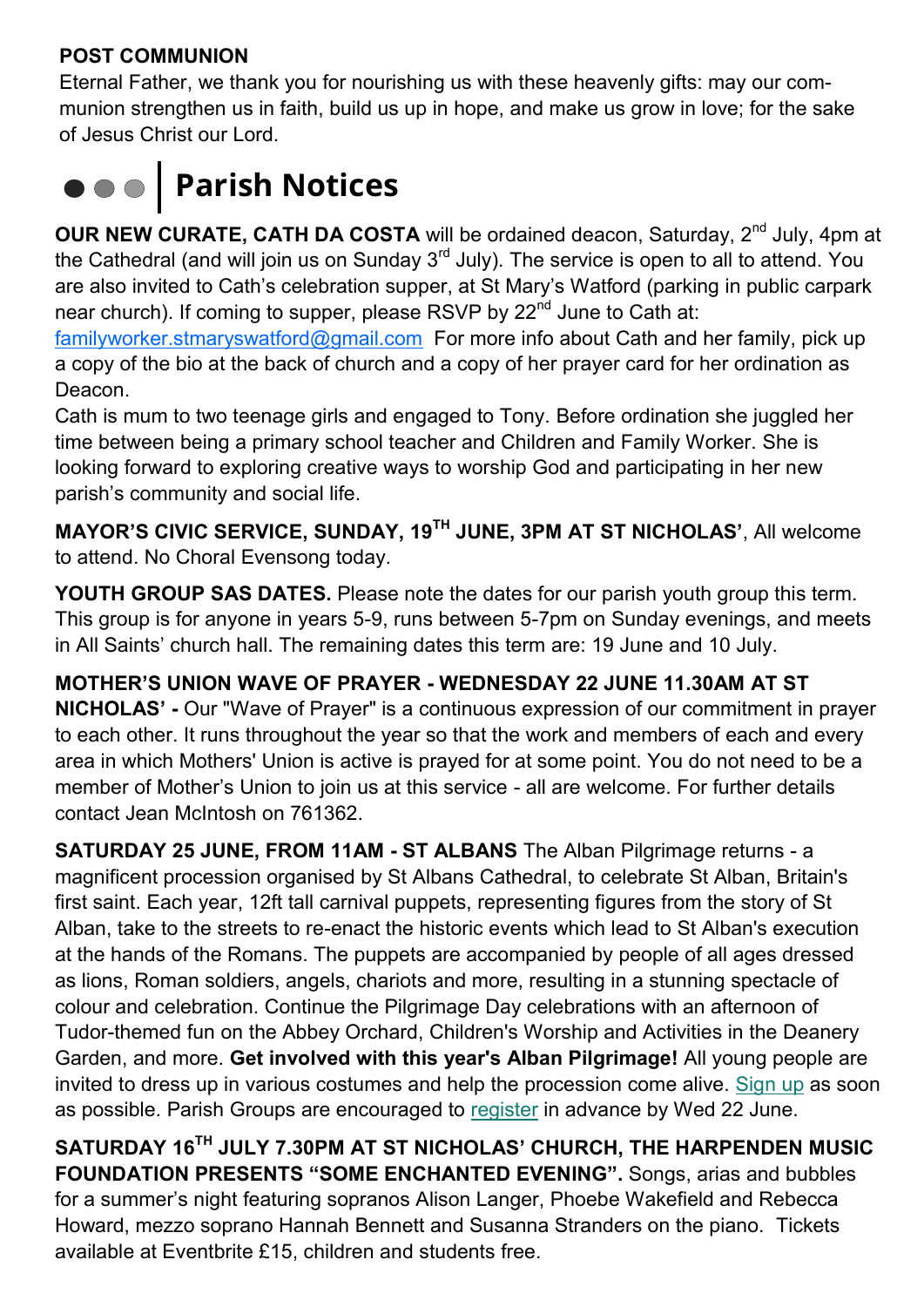#### **POST COMMUNION**

Eternal Father, we thank you for nourishing us with these heavenly gifts: may our communion strengthen us in faith, build us up in hope, and make us grow in love; for the sake of Jesus Christ our Lord.

# **Parish Notices**

**OUR NEW CURATE, CATH DA COSTA** will be ordained deacon, Saturday, 2<sup>nd</sup> July, 4pm at the Cathedral (and will join us on Sunday 3<sup>rd</sup> July). The service is open to all to attend. You are also invited to Cath's celebration supper, at St Mary's Watford (parking in public carpark near church). If coming to supper, please RSVP by 22<sup>nd</sup> June to Cath at:

[familyworker.stmaryswatford@gmail.com](mailto:familyworker.stmaryswatford@gmail.com) For more info about Cath and her family, pick up a copy of the bio at the back of church and a copy of her prayer card for her ordination as Deacon.

Cath is mum to two teenage girls and engaged to Tony. Before ordination she juggled her time between being a primary school teacher and Children and Family Worker. She is looking forward to exploring creative ways to worship God and participating in her new parish's community and social life.

**MAYOR'S CIVIC SERVICE, SUNDAY, 19TH JUNE, 3PM AT ST NICHOLAS'**, All welcome to attend. No Choral Evensong today.

**YOUTH GROUP SAS DATES.** Please note the dates for our parish youth group this term. This group is for anyone in years 5-9, runs between 5-7pm on Sunday evenings, and meets in All Saints' church hall. The remaining dates this term are: 19 June and 10 July.

**MOTHER'S UNION WAVE OF PRAYER - WEDNESDAY 22 JUNE 11.30AM AT ST NICHOLAS' -** Our "Wave of Prayer" is a continuous expression of our commitment in prayer to each other. It runs throughout the year so that the work and members of each and every area in which Mothers' Union is active is prayed for at some point. You do not need to be a member of Mother's Union to join us at this service - all are welcome. For further details contact Jean McIntosh on 761362.

**SATURDAY 25 JUNE, FROM 11AM - ST ALBANS** The Alban Pilgrimage returns - a magnificent procession organised by St Albans Cathedral, to celebrate St Alban, Britain's first saint. Each year, 12ft tall carnival puppets, representing figures from the story of St Alban, take to the streets to re-enact the historic events which lead to St Alban's execution at the hands of the Romans. The puppets are accompanied by people of all ages dressed as lions, Roman soldiers, angels, chariots and more, resulting in a stunning spectacle of colour and celebration. Continue the Pilgrimage Day celebrations with an afternoon of Tudor-themed fun on the Abbey Orchard, Children's Worship and Activities in the Deanery Garden, and more. **Get involved with this year's Alban Pilgrimage!** All young people are invited to dress up in various costumes and help the procession come alive. [Sign up](https://anglican.us7.list-manage.com/track/click?u=c3d56e531a20b37fbe8d6145a&id=9286760ab8&e=ee398a660a) as soon as possible. Parish Groups are encouraged to [register](https://anglican.us7.list-manage.com/track/click?u=c3d56e531a20b37fbe8d6145a&id=294a28c09c&e=ee398a660a) in advance by Wed 22 June.

**SATURDAY 16TH JULY 7.30PM AT ST NICHOLAS' CHURCH, THE HARPENDEN MUSIC FOUNDATION PRESENTS "SOME ENCHANTED EVENING".** Songs, arias and bubbles for a summer's night featuring sopranos Alison Langer, Phoebe Wakefield and Rebecca Howard, mezzo soprano Hannah Bennett and Susanna Stranders on the piano. Tickets available at Eventbrite £15, children and students free.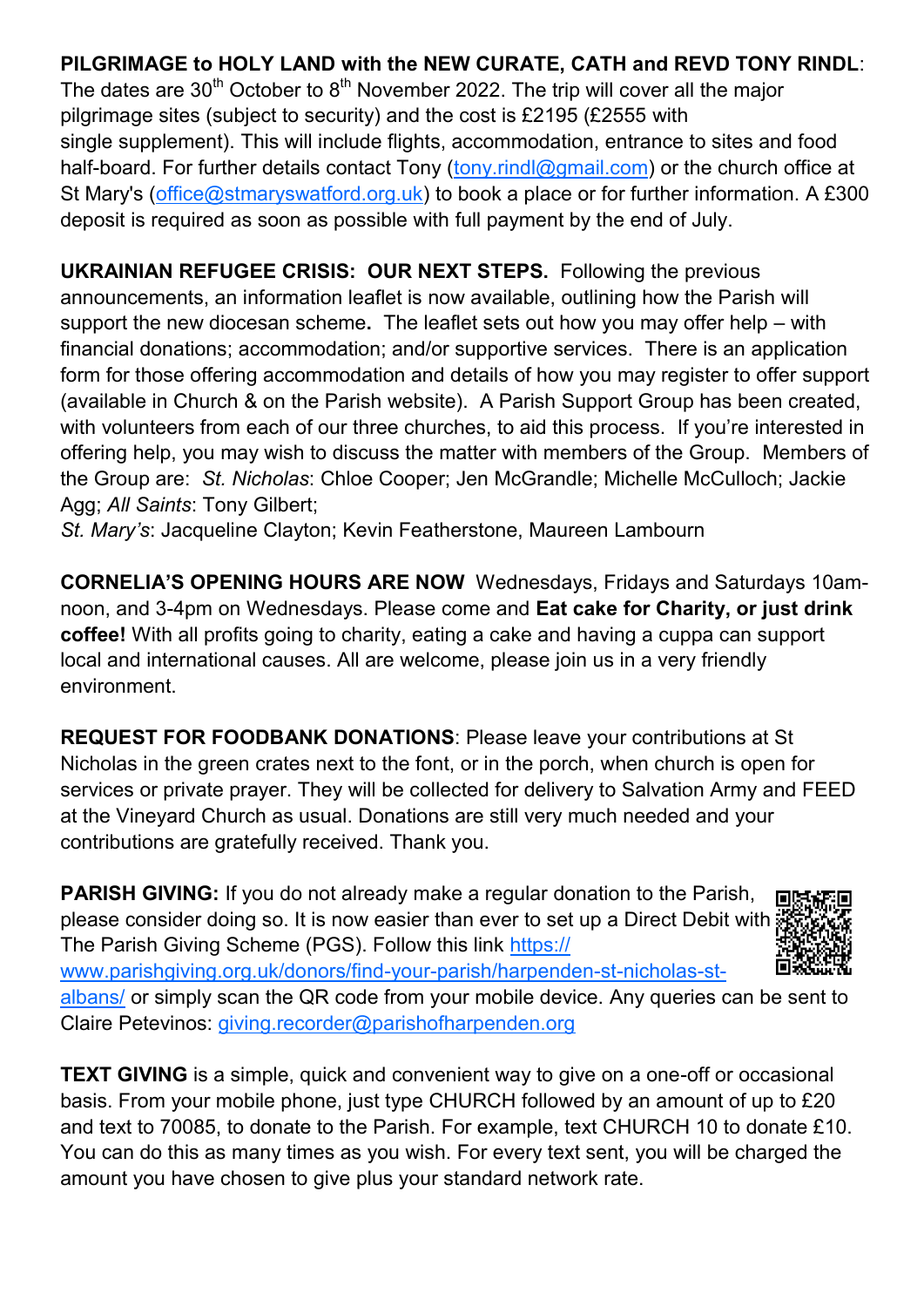#### **PILGRIMAGE to HOLY LAND with the NEW CURATE, CATH and REVD TONY RINDL**:

The dates are  $30<sup>th</sup>$  October to  $8<sup>th</sup>$  November 2022. The trip will cover all the major pilgrimage sites (subject to security) and the cost is £2195 (£2555 with single supplement). This will include flights, accommodation, entrance to sites and food half-board. For further details contact Tony ([tony.rindl@gmail.com\)](mailto:tony.rindl@gmail.com) or the church office at St Mary's ([office@stmaryswatford.org.uk\)](mailto:office@stmaryswatford.org.uk) to book a place or for further information. A £300 deposit is required as soon as possible with full payment by the end of July.

**UKRAINIAN REFUGEE CRISIS: OUR NEXT STEPS.** Following the previous announcements, an information leaflet is now available, outlining how the Parish will support the new diocesan scheme**.** The leaflet sets out how you may offer help – with financial donations; accommodation; and/or supportive services. There is an application form for those offering accommodation and details of how you may register to offer support (available in Church & on the Parish website). A Parish Support Group has been created, with volunteers from each of our three churches, to aid this process. If you're interested in offering help, you may wish to discuss the matter with members of the Group. Members of the Group are: *St. Nicholas*: Chloe Cooper; Jen McGrandle; Michelle McCulloch; Jackie Agg; *All Saints*: Tony Gilbert;

*St. Mary's*: Jacqueline Clayton; Kevin Featherstone, Maureen Lambourn

**CORNELIA'S OPENING HOURS ARE NOW** Wednesdays, Fridays and Saturdays 10amnoon, and 3-4pm on Wednesdays. Please come and **Eat cake for Charity, or just drink coffee!** With all profits going to charity, eating a cake and having a cuppa can support local and international causes. All are welcome, please join us in a very friendly environment.

**REQUEST FOR FOODBANK DONATIONS**: Please leave your contributions at St Nicholas in the green crates next to the font, or in the porch, when church is open for services or private prayer. They will be collected for delivery to Salvation Army and FEED at the Vineyard Church as usual. Donations are still very much needed and your contributions are gratefully received. Thank you.

**PARISH GIVING:** If you do not already make a regular donation to the Parish, please consider doing so. It is now easier than ever to set up a Direct Debit with The Parish Giving Scheme (PGS). Follow this link [https://](https://www.parishgiving.org.uk/donors/find-your-parish/harpenden-st-nicholas-st-albans/)



[www.parishgiving.org.uk/donors/find](https://www.parishgiving.org.uk/donors/find-your-parish/harpenden-st-nicholas-st-albans/)-your-parish/harpenden-st-nicholas-st[albans/](https://www.parishgiving.org.uk/donors/find-your-parish/harpenden-st-nicholas-st-albans/) or simply scan the QR code from your mobile device. Any queries can be sent to Claire Petevinos: [giving.recorder@parishofharpenden.org](mailto:giving.recorder@parishofharpenden.org)

**TEXT GIVING** is a simple, quick and convenient way to give on a one-off or occasional basis. From your mobile phone, just type CHURCH followed by an amount of up to £20 and text to 70085, to donate to the Parish. For example, text CHURCH 10 to donate £10. You can do this as many times as you wish. For every text sent, you will be charged the amount you have chosen to give plus your standard network rate.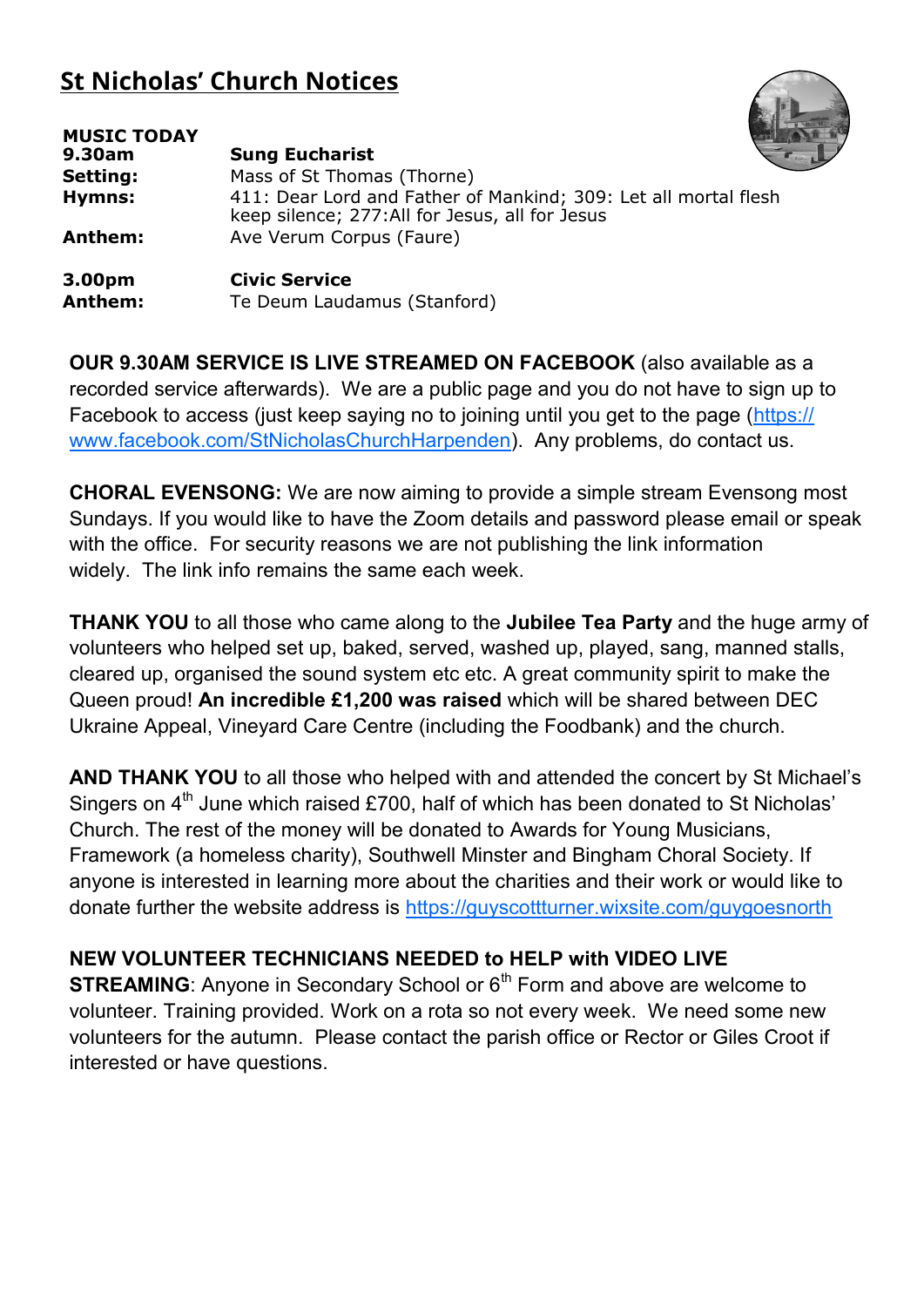### **St Nicholas' Church Notices**

**MUSIC TODAY** 

| <b>MUSIC TODAY</b><br>9.30am | <b>Sung Eucharist</b>                                                                                              |
|------------------------------|--------------------------------------------------------------------------------------------------------------------|
| Setting:                     | Mass of St Thomas (Thorne)                                                                                         |
| Hymns:                       | 411: Dear Lord and Father of Mankind; 309: Let all mortal flesh<br>keep silence; 277: All for Jesus, all for Jesus |
| Anthem:                      | Ave Verum Corpus (Faure)                                                                                           |
| 3.00pm<br>Anthem:            | <b>Civic Service</b><br>Te Deum Laudamus (Stanford)                                                                |

**OUR 9.30AM SERVICE IS LIVE STREAMED ON FACEBOOK** (also available as a recorded service afterwards). We are a public page and you do not have to sign up to Facebook to access (just keep saying no to joining until you get to the page ([https://](https://www.facebook.com/StNicholasChurchHarpenden) [www.facebook.com/StNicholasChurchHarpenden\).](https://www.facebook.com/StNicholasChurchHarpenden) Any problems, do contact us.

**CHORAL EVENSONG:** We are now aiming to provide a simple stream Evensong most Sundays. If you would like to have the Zoom details and password please email or speak with the office. For security reasons we are not publishing the link information widely. The link info remains the same each week.

**THANK YOU** to all those who came along to the **Jubilee Tea Party** and the huge army of volunteers who helped set up, baked, served, washed up, played, sang, manned stalls, cleared up, organised the sound system etc etc. A great community spirit to make the Queen proud! **An incredible £1,200 was raised** which will be shared between DEC Ukraine Appeal, Vineyard Care Centre (including the Foodbank) and the church.

**AND THANK YOU** to all those who helped with and attended the concert by St Michael's Singers on  $4<sup>th</sup>$  June which raised £700, half of which has been donated to St Nicholas' Church. The rest of the money will be donated to Awards for Young Musicians, Framework (a homeless charity), Southwell Minster and Bingham Choral Society. If anyone is interested in learning more about the charities and their work or would like to donate further the website address is <https://guyscottturner.wixsite.com/guygoesnorth>

#### **NEW VOLUNTEER TECHNICIANS NEEDED to HELP with VIDEO LIVE**

**STREAMING:** Anyone in Secondary School or 6<sup>th</sup> Form and above are welcome to volunteer. Training provided. Work on a rota so not every week. We need some new volunteers for the autumn. Please contact the parish office or Rector or Giles Croot if interested or have questions.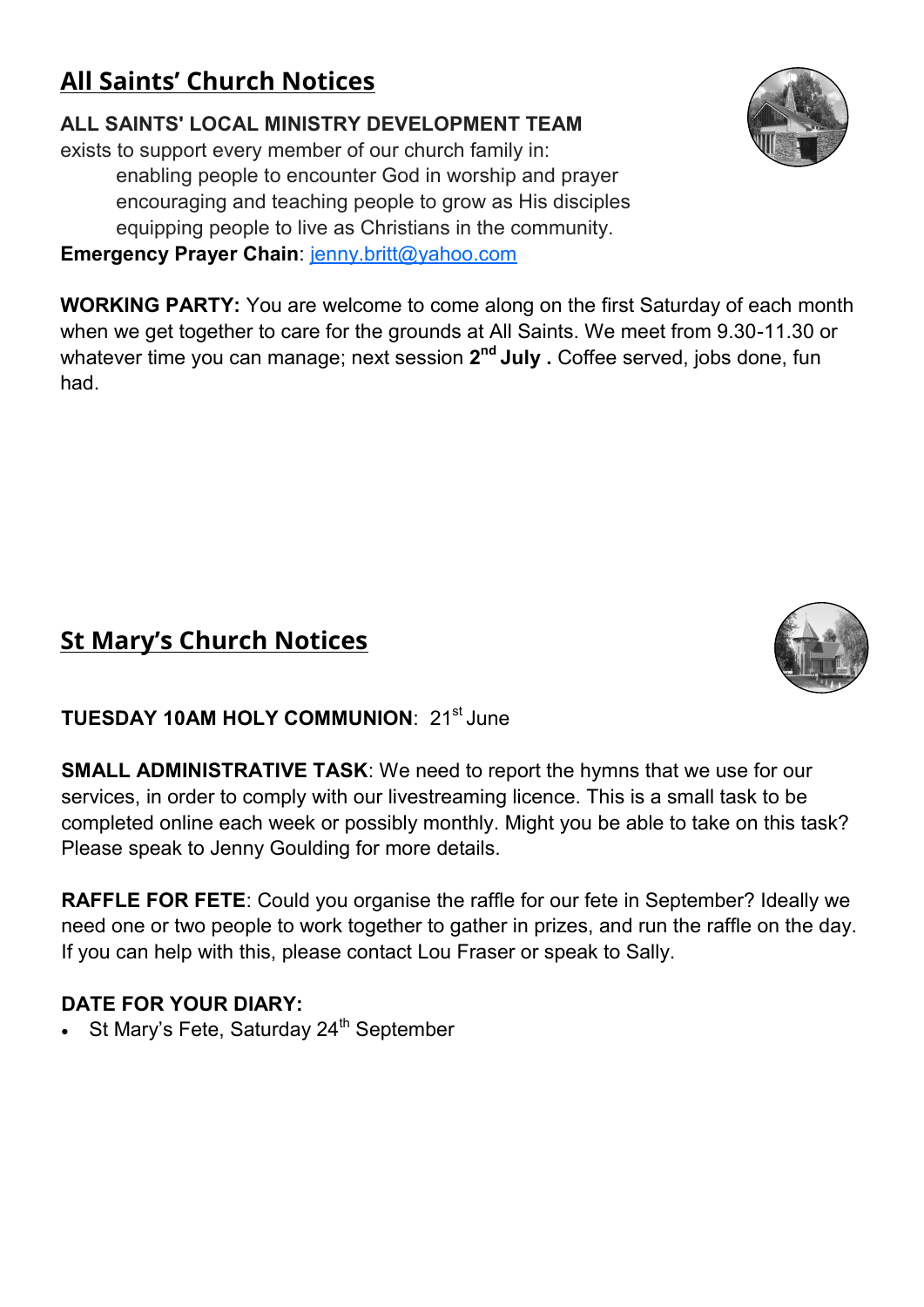### **All Saints' Church Notices**

#### **ALL SAINTS' LOCAL MINISTRY DEVELOPMENT TEAM**

exists to support every member of our church family in: enabling people to encounter God in worship and prayer encouraging and teaching people to grow as His disciples equipping people to live as Christians in the community. **Emergency Prayer Chain**: [jenny.britt@yahoo.com](mailto:jenny.britt@yahoo.com)

**WORKING PARTY:** You are welcome to come along on the first Saturday of each month when we get together to care for the grounds at All Saints. We meet from 9.30-11.30 or whatever time you can manage; next session **2 nd July .** Coffee served, jobs done, fun had.

### **St Mary's Church Notices**

**TUESDAY 10AM HOLY COMMUNION: 21st June** 

**SMALL ADMINISTRATIVE TASK**: We need to report the hymns that we use for our services, in order to comply with our livestreaming licence. This is a small task to be completed online each week or possibly monthly. Might you be able to take on this task? Please speak to Jenny Goulding for more details.

**RAFFLE FOR FETE**: Could you organise the raffle for our fete in September? Ideally we need one or two people to work together to gather in prizes, and run the raffle on the day. If you can help with this, please contact Lou Fraser or speak to Sally.

#### **DATE FOR YOUR DIARY:**

 $\cdot$  St Mary's Fete, Saturday 24<sup>th</sup> September